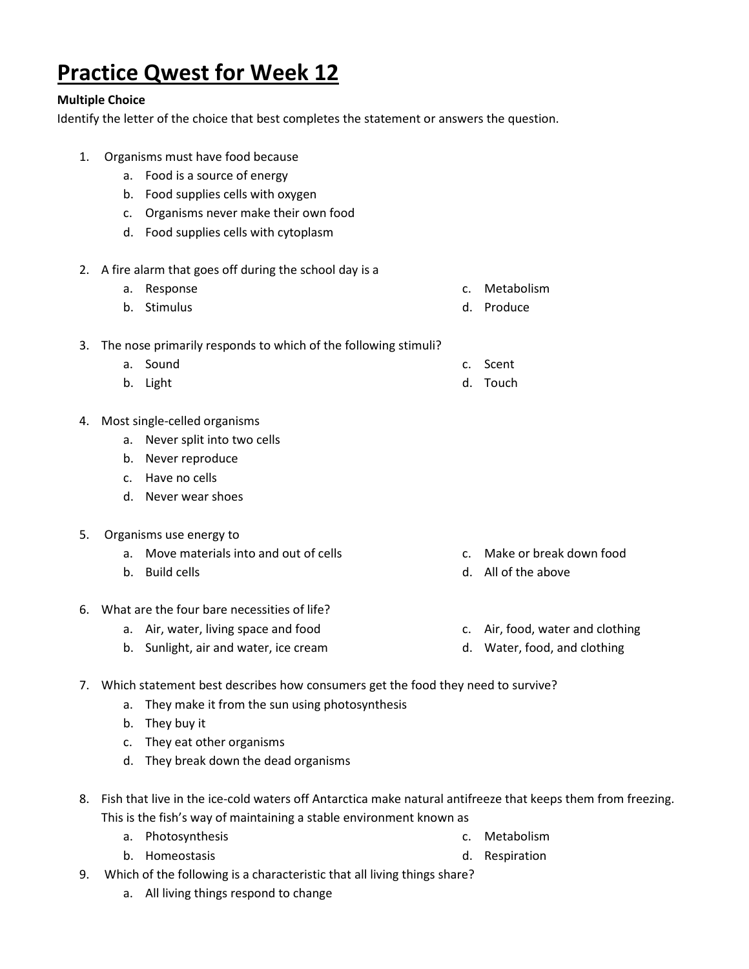## **Practice Qwest for Week 12**

## **Multiple Choice**

Identify the letter of the choice that best completes the statement or answers the question.

- 1. Organisms must have food because
	- a. Food is a source of energy
	- b. Food supplies cells with oxygen
	- c. Organisms never make their own food
	- d. Food supplies cells with cytoplasm
- 2. A fire alarm that goes off during the school day is a
	- a. Response b. Stimulus
- 3. The nose primarily responds to which of the following stimuli?
	- a. Sound
	- b. Light d. Touch
- 4. Most single-celled organisms
	- a. Never split into two cells
	- b. Never reproduce
	- c. Have no cells
	- d. Never wear shoes
- 5. Organisms use energy to
	- a. Move materials into and out of cells
	- b. Build cells
- 6. What are the four bare necessities of life?
	- a. Air, water, living space and food
	- b. Sunlight, air and water, ice cream
- c. Make or break down food
- d. All of the above
- c. Air, food, water and clothing
- d. Water, food, and clothing
- 7. Which statement best describes how consumers get the food they need to survive?
	- a. They make it from the sun using photosynthesis
	- b. They buy it
	- c. They eat other organisms
	- d. They break down the dead organisms
- 8. Fish that live in the ice-cold waters off Antarctica make natural antifreeze that keeps them from freezing. This is the fish's way of maintaining a stable environment known as
	- a. Photosynthesis
	- b. Homeostasis
- 9. Which of the following is a characteristic that all living things share?
	- a. All living things respond to change
- 
- c. Metabolism
	- d. Produce
	- c. Scent
	-

- 
- 

- c. Metabolism
- d. Respiration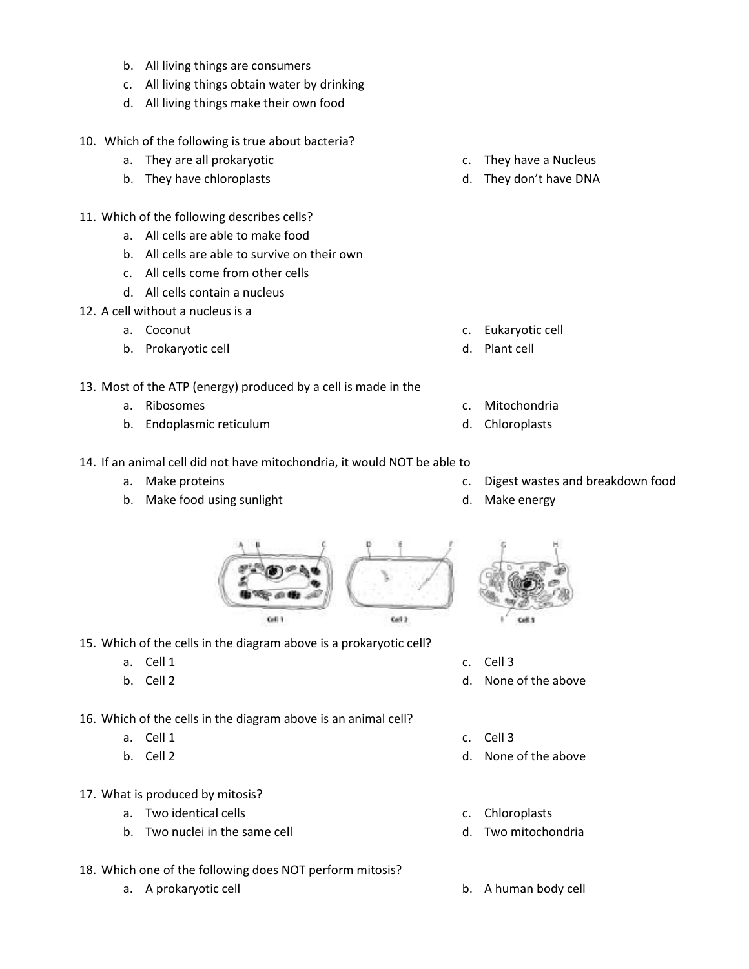- b. All living things are consumers
- c. All living things obtain water by drinking
- d. All living things make their own food
- 10. Which of the following is true about bacteria?
	- a. They are all prokaryotic
	- b. They have chloroplasts
- 11. Which of the following describes cells?
	- a. All cells are able to make food
	- b. All cells are able to survive on their own
	- c. All cells come from other cells
	- d. All cells contain a nucleus
- 12. A cell without a nucleus is a
	- a. Coconut
	- b. Prokaryotic cell
- 13. Most of the ATP (energy) produced by a cell is made in the
	- a. Ribosomes
	- b. Endoplasmic reticulum
- 14. If an animal cell did not have mitochondria, it would NOT be able to
	- a. Make proteins
	- b. Make food using sunlight
- c. They have a Nucleus
- d. They don't have DNA

- c. Eukaryotic cell
- d. Plant cell
- c. Mitochondria
- d. Chloroplasts
- c. Digest wastes and breakdown food
- d. Make energy



- 15. Which of the cells in the diagram above is a prokaryotic cell?
	- a. Cell 1
	- b. Cell 2
- 16. Which of the cells in the diagram above is an animal cell?
	- a. Cell 1
	- b. Cell 2
- 17. What is produced by mitosis?
	- a. Two identical cells
	- b. Two nuclei in the same cell
- 18. Which one of the following does NOT perform mitosis?
	-



- c. Cell 3
- d. None of the above
- c. Cell 3
- d. None of the above
- c. Chloroplasts
- d. Two mitochondria
- a. A prokaryotic cell b. A human body cell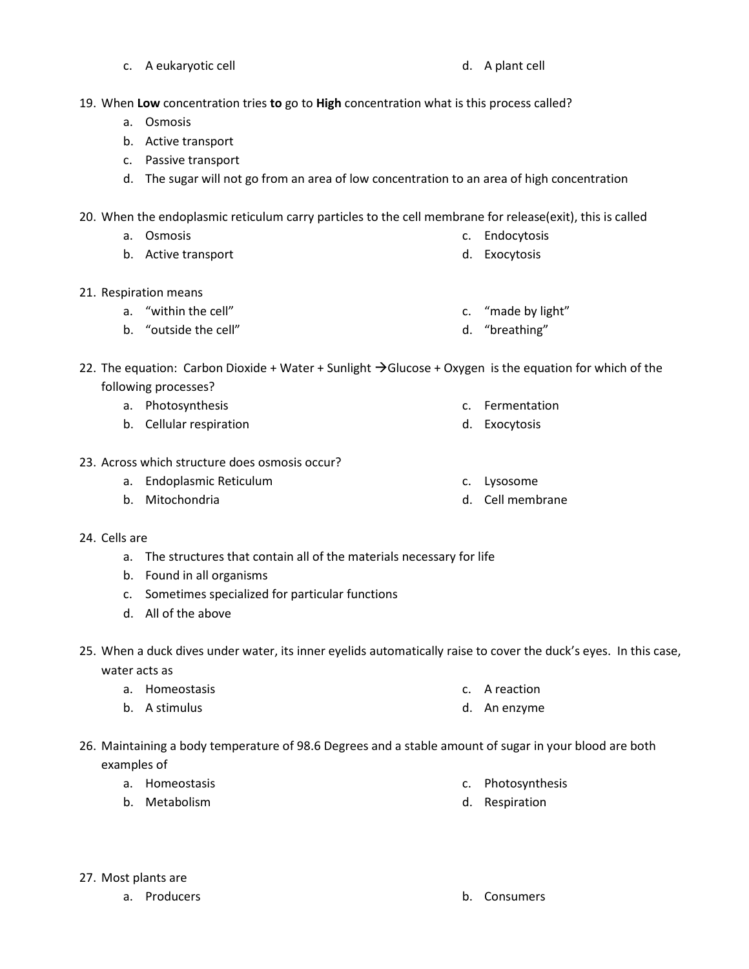c. A eukaryotic cell and the control of the cell d. A plant cell

- 19. When **Low** concentration tries **to** go to **High** concentration what is this process called?
	- a. Osmosis
	- b. Active transport
	- c. Passive transport
	- d. The sugar will not go from an area of low concentration to an area of high concentration

20. When the endoplasmic reticulum carry particles to the cell membrane for release(exit), this is called

- a. Osmosis c. Endocytosis
- b. Active transport d. Exocytosis
- 21. Respiration means
	- a. "within the cell" c. "made by light"
	- b. "outside the cell" d. "breathing"
- 22. The equation: Carbon Dioxide + Water + Sunlight  $\rightarrow$  Glucose + Oxygen is the equation for which of the following processes?
	- a. Photosynthesis c. Fermentation
	- b. Cellular respiration d. Exocytosis
- 23. Across which structure does osmosis occur?
	- a. Endoplasmic Reticulum
	- b. Mitochondria
- 24. Cells are
	- a. The structures that contain all of the materials necessary for life
	- b. Found in all organisms
	- c. Sometimes specialized for particular functions
	- d. All of the above
- 25. When a duck dives under water, its inner eyelids automatically raise to cover the duck's eyes. In this case, water acts as
	- a. Homeostasis
	- b. A stimulus
		- d. An enzyme
- 26. Maintaining a body temperature of 98.6 Degrees and a stable amount of sugar in your blood are both examples of
	- a. Homeostasis
	- b. Metabolism
- c. Photosynthesis
- d. Respiration

c. A reaction

c. Lysosome d. Cell membrane

- 27. Most plants are
	-